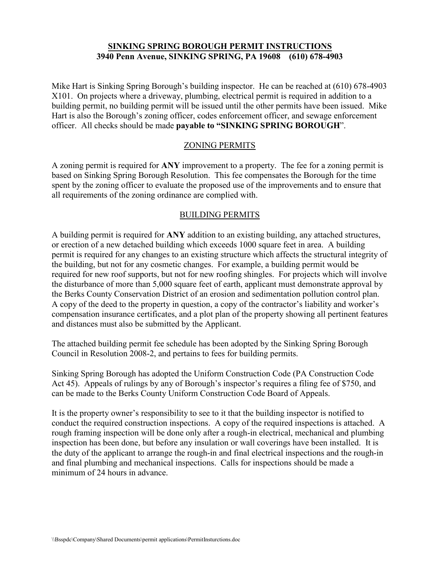#### **SINKING SPRING BOROUGH PERMIT INSTRUCTIONS 3940 Penn Avenue, SINKING SPRING, PA 19608 (610) 678-4903**

Mike Hart is Sinking Spring Borough's building inspector. He can be reached at (610) 678-4903 X101. On projects where a driveway, plumbing, electrical permit is required in addition to a building permit, no building permit will be issued until the other permits have been issued. Mike Hart is also the Borough's zoning officer, codes enforcement officer, and sewage enforcement officer. All checks should be made **payable to "SINKING SPRING BOROUGH**".

#### ZONING PERMITS

A zoning permit is required for **ANY** improvement to a property. The fee for a zoning permit is based on Sinking Spring Borough Resolution. This fee compensates the Borough for the time spent by the zoning officer to evaluate the proposed use of the improvements and to ensure that all requirements of the zoning ordinance are complied with.

#### BUILDING PERMITS

A building permit is required for **ANY** addition to an existing building, any attached structures, or erection of a new detached building which exceeds 1000 square feet in area. A building permit is required for any changes to an existing structure which affects the structural integrity of the building, but not for any cosmetic changes. For example, a building permit would be required for new roof supports, but not for new roofing shingles. For projects which will involve the disturbance of more than 5,000 square feet of earth, applicant must demonstrate approval by the Berks County Conservation District of an erosion and sedimentation pollution control plan. A copy of the deed to the property in question, a copy of the contractor's liability and worker's compensation insurance certificates, and a plot plan of the property showing all pertinent features and distances must also be submitted by the Applicant.

The attached building permit fee schedule has been adopted by the Sinking Spring Borough Council in Resolution 2008-2, and pertains to fees for building permits.

Sinking Spring Borough has adopted the Uniform Construction Code (PA Construction Code Act 45). Appeals of rulings by any of Borough's inspector's requires a filing fee of \$750, and can be made to the Berks County Uniform Construction Code Board of Appeals.

It is the property owner's responsibility to see to it that the building inspector is notified to conduct the required construction inspections. A copy of the required inspections is attached. A rough framing inspection will be done only after a rough-in electrical, mechanical and plumbing inspection has been done, but before any insulation or wall coverings have been installed. It is the duty of the applicant to arrange the rough-in and final electrical inspections and the rough-in and final plumbing and mechanical inspections. Calls for inspections should be made a minimum of 24 hours in advance.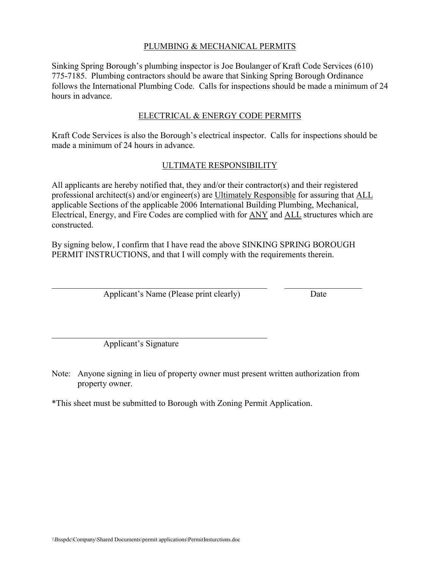## PLUMBING & MECHANICAL PERMITS

Sinking Spring Borough's plumbing inspector is Joe Boulanger of Kraft Code Services (610) 775-7185. Plumbing contractors should be aware that Sinking Spring Borough Ordinance follows the International Plumbing Code. Calls for inspections should be made a minimum of 24 hours in advance.

## ELECTRICAL & ENERGY CODE PERMITS

Kraft Code Services is also the Borough's electrical inspector. Calls for inspections should be made a minimum of 24 hours in advance.

## ULTIMATE RESPONSIBILITY

All applicants are hereby notified that, they and/or their contractor(s) and their registered professional architect(s) and/or engineer(s) are Ultimately Responsible for assuring that ALL applicable Sections of the applicable 2006 International Building Plumbing, Mechanical, Electrical, Energy, and Fire Codes are complied with for ANY and ALL structures which are constructed.

By signing below, I confirm that I have read the above SINKING SPRING BOROUGH PERMIT INSTRUCTIONS, and that I will comply with the requirements therein.

 $\mathcal{L}_\text{max} = \mathcal{L}_\text{max} = \mathcal{L}_\text{max} = \mathcal{L}_\text{max} = \mathcal{L}_\text{max} = \mathcal{L}_\text{max} = \mathcal{L}_\text{max} = \mathcal{L}_\text{max} = \mathcal{L}_\text{max} = \mathcal{L}_\text{max} = \mathcal{L}_\text{max} = \mathcal{L}_\text{max} = \mathcal{L}_\text{max} = \mathcal{L}_\text{max} = \mathcal{L}_\text{max} = \mathcal{L}_\text{max} = \mathcal{L}_\text{max} = \mathcal{L}_\text{max} = \mathcal{$ 

Applicant's Name (Please print clearly) Date

Applicant's Signature

 $\mathcal{L}_\text{max}$  and the contract of the contract of the contract of the contract of the contract of the contract of the contract of the contract of the contract of the contract of the contract of the contract of the contrac

- Note: Anyone signing in lieu of property owner must present written authorization from property owner.
- \*This sheet must be submitted to Borough with Zoning Permit Application.